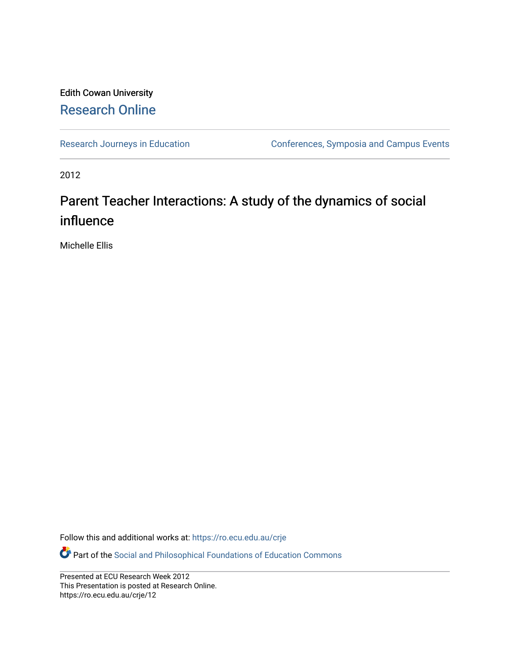#### Edith Cowan University [Research Online](https://ro.ecu.edu.au/)

[Research Journeys in Education](https://ro.ecu.edu.au/crje) **Conferences**, Symposia and Campus Events

2012

#### Parent Teacher Interactions: A study of the dynamics of social influence

Michelle Ellis

Follow this and additional works at: [https://ro.ecu.edu.au/crje](https://ro.ecu.edu.au/crje?utm_source=ro.ecu.edu.au%2Fcrje%2F12&utm_medium=PDF&utm_campaign=PDFCoverPages) 

Part of the [Social and Philosophical Foundations of Education Commons](http://network.bepress.com/hgg/discipline/799?utm_source=ro.ecu.edu.au%2Fcrje%2F12&utm_medium=PDF&utm_campaign=PDFCoverPages) 

Presented at ECU Research Week 2012 This Presentation is posted at Research Online. https://ro.ecu.edu.au/crje/12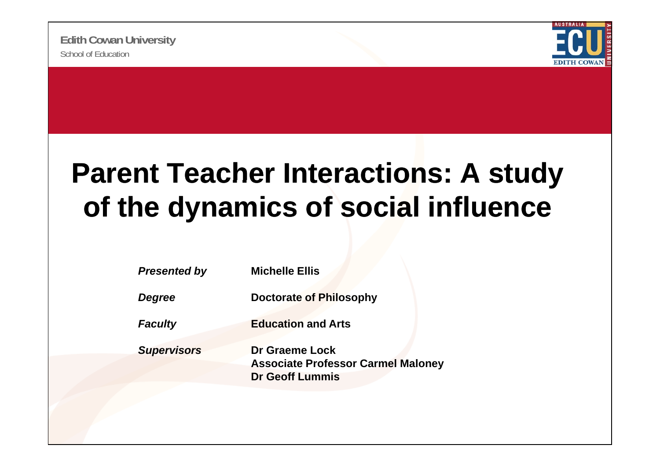

#### **Parent Teacher Interactions: A study of the dynamics of social influence**

| <b>Presented by</b> | <b>Michelle Ellis</b>                                                                 |
|---------------------|---------------------------------------------------------------------------------------|
| Degree              | <b>Doctorate of Philosophy</b>                                                        |
| <b>Faculty</b>      | <b>Education and Arts</b>                                                             |
| <b>Supervisors</b>  | Dr Graeme Lock<br><b>Associate Professor Carmel Maloney</b><br><b>Dr Geoff Lummis</b> |
|                     |                                                                                       |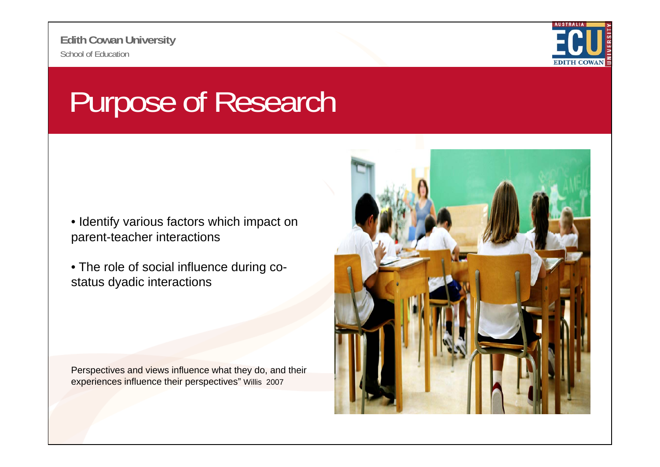

### Purpose of Research

- Identify various factors which impact on parent-teacher interactions
- The role of social influence during costatus dyadic interactions

Perspectives and views influence what they do, and their experiences influence their perspectives" Willis 2007

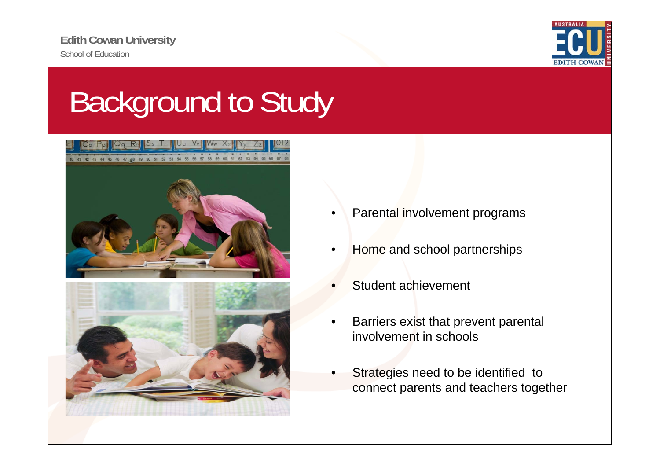

# Background to Study





- •Parental involvement programs
- •Home and school partnerships
- •Student achievement
- • Barriers exist that prevent parental involvement in schools
- • Strategies need to be identified to connect parents and teachers together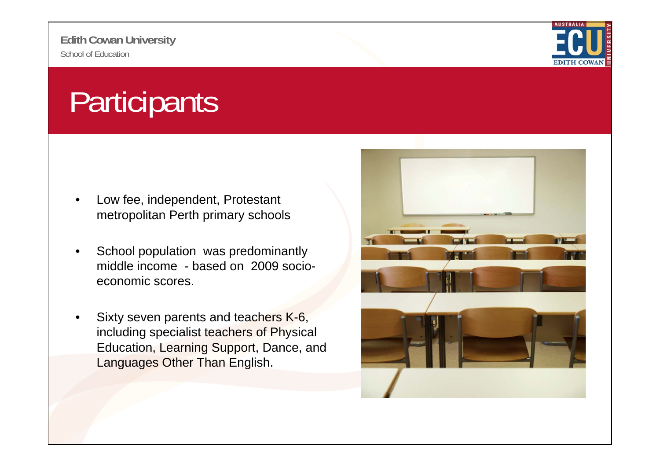

## **Participants**

- • Low fee, independent, Protestant metropolitan Perth primary schools
- • School population was predominantly middle income - based on 2009 socioeconomic scores.
- • Sixty seven parents and teachers K-6, including specialist teachers of Physical Education, Learning Support, Dance, and Languages Other Than English.

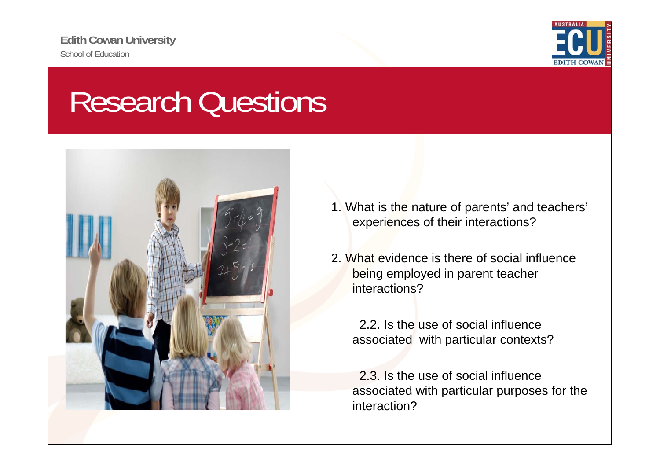

#### Research Questions



- 1. What is the nature of parents' and teachers' experiences of their interactions?
- 2. What evidence is there of social influence being employed in parent teacher interactions?

2.2. Is the use of social influence associated with particular contexts?

2.3. Is the use of social influence associated with particular purposes for the interaction?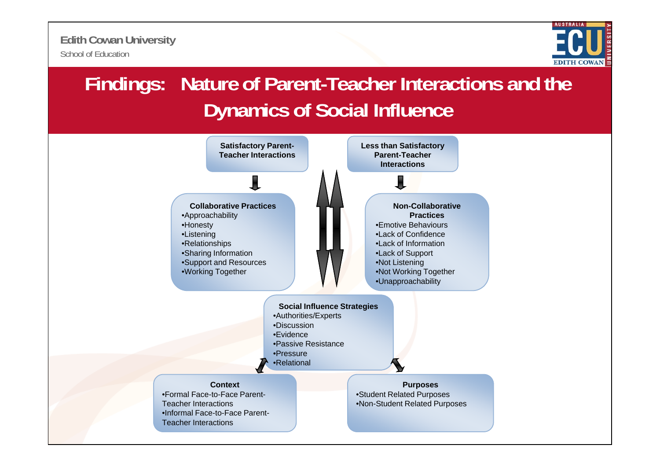

#### **Findings: Nature of Parent-Teacher Interactions and the Dynamics of Social Influence**

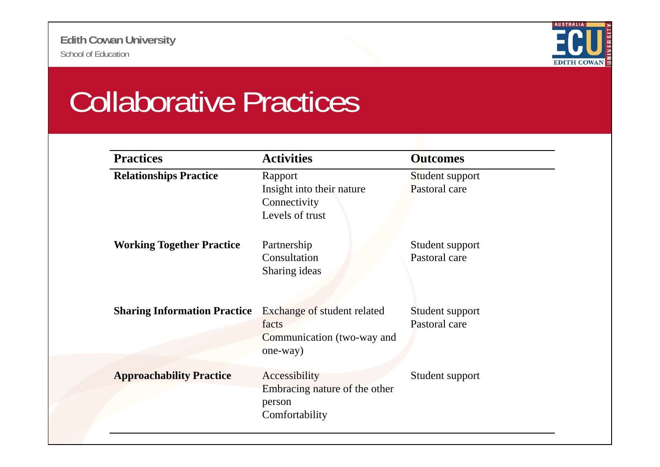

## Collaborative Practices

| <b>Practices</b>                    | <b>Activities</b>                                                              | <b>Outcomes</b>                  |
|-------------------------------------|--------------------------------------------------------------------------------|----------------------------------|
| <b>Relationships Practice</b>       | Rapport<br>Insight into their nature<br>Connectivity<br>Levels of trust        | Student support<br>Pastoral care |
| <b>Working Together Practice</b>    | Partnership<br>Consultation<br>Sharing ideas                                   | Student support<br>Pastoral care |
| <b>Sharing Information Practice</b> | Exchange of student related<br>facts<br>Communication (two-way and<br>one-way) | Student support<br>Pastoral care |
| <b>Approachability Practice</b>     | Accessibility<br>Embracing nature of the other<br>person<br>Comfortability     | Student support                  |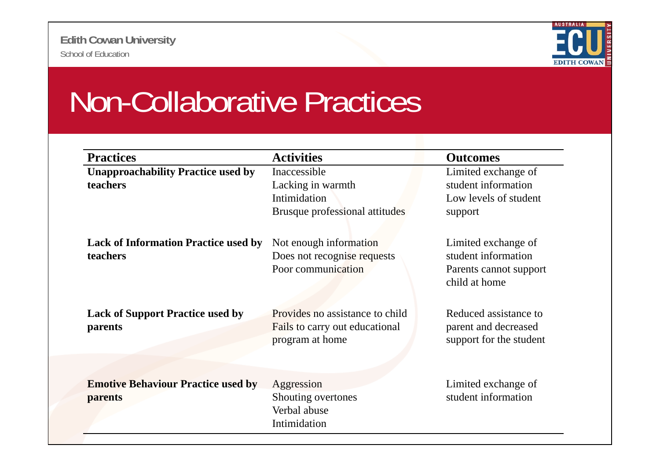

#### Non-Collaborative Practices

| <b>Practices</b>                                        | <b>Activities</b>                                                                    | <b>Outcomes</b>                                                                       |
|---------------------------------------------------------|--------------------------------------------------------------------------------------|---------------------------------------------------------------------------------------|
| <b>Unapproachability Practice used by</b>               | Inaccessible                                                                         | Limited exchange of                                                                   |
| teachers                                                | Lacking in warmth<br>Intimidation<br>Brusque professional attitudes                  | student information<br>Low levels of student<br>support                               |
| <b>Lack of Information Practice used by</b><br>teachers | Not enough information<br>Does not recognise requests<br>Poor communication          | Limited exchange of<br>student information<br>Parents cannot support<br>child at home |
| <b>Lack of Support Practice used by</b><br>parents      | Provides no assistance to child<br>Fails to carry out educational<br>program at home | Reduced assistance to<br>parent and decreased<br>support for the student              |
| <b>Emotive Behaviour Practice used by</b><br>parents    | Aggression<br>Shouting overtones<br>Verbal abuse<br>Intimidation                     | Limited exchange of<br>student information                                            |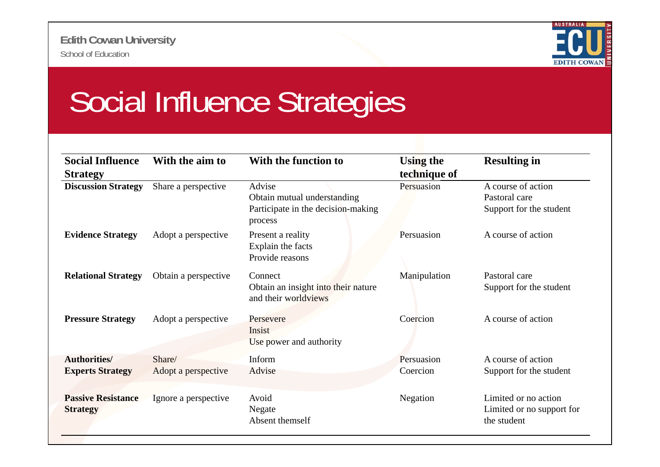

## Social Influence Strategies

| <b>Social Influence</b><br><b>Strategy</b>     | With the aim to               | With the function to                                                                   | <b>Using the</b><br>technique of | <b>Resulting in</b>                                              |
|------------------------------------------------|-------------------------------|----------------------------------------------------------------------------------------|----------------------------------|------------------------------------------------------------------|
| <b>Discussion Strategy</b>                     | Share a perspective           | Advise<br>Obtain mutual understanding<br>Participate in the decision-making<br>process | Persuasion                       | A course of action<br>Pastoral care<br>Support for the student   |
| <b>Evidence Strategy</b>                       | Adopt a perspective           | Present a reality<br>Explain the facts<br>Provide reasons                              | Persuasion                       | A course of action                                               |
| <b>Relational Strategy</b>                     | Obtain a perspective          | Connect<br>Obtain an insight into their nature<br>and their worldviews                 | Manipulation                     | Pastoral care<br>Support for the student                         |
| <b>Pressure Strategy</b>                       | Adopt a perspective           | Persevere<br>Insist<br>Use power and authority                                         | Coercion                         | A course of action                                               |
| <b>Authorities/</b><br><b>Experts Strategy</b> | Share/<br>Adopt a perspective | Inform<br>Advise                                                                       | Persuasion<br>Coercion           | A course of action<br>Support for the student                    |
| <b>Passive Resistance</b><br><b>Strategy</b>   | Ignore a perspective          | Avoid<br>Negate<br>Absent themself                                                     | Negation                         | Limited or no action<br>Limited or no support for<br>the student |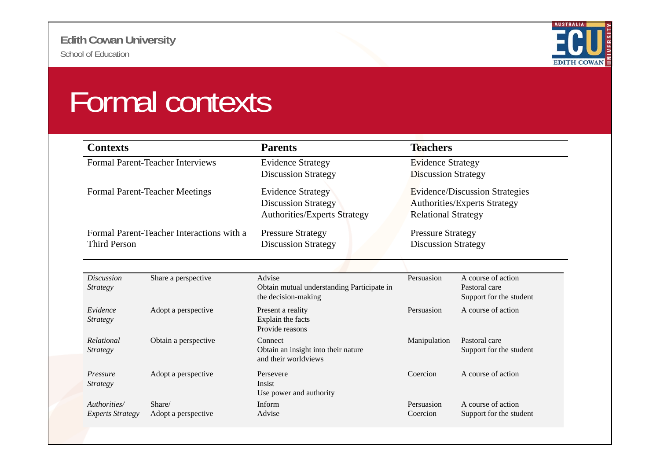

### Formal contexts

| <b>Contexts</b>                         |                                           | <b>Parents</b>                                                                         | <b>Teachers</b>                                                                                            |                                                                |
|-----------------------------------------|-------------------------------------------|----------------------------------------------------------------------------------------|------------------------------------------------------------------------------------------------------------|----------------------------------------------------------------|
| <b>Formal Parent-Teacher Interviews</b> |                                           | <b>Evidence Strategy</b><br><b>Discussion Strategy</b>                                 | <b>Evidence Strategy</b><br><b>Discussion Strategy</b>                                                     |                                                                |
|                                         | <b>Formal Parent-Teacher Meetings</b>     | <b>Evidence Strategy</b><br><b>Discussion Strategy</b><br>Authorities/Experts Strategy | <b>Evidence/Discussion Strategies</b><br><b>Authorities/Experts Strategy</b><br><b>Relational Strategy</b> |                                                                |
| <b>Third Person</b>                     | Formal Parent-Teacher Interactions with a | <b>Pressure Strategy</b><br><b>Discussion Strategy</b>                                 | <b>Pressure Strategy</b><br><b>Discussion Strategy</b>                                                     |                                                                |
| <b>Discussion</b><br><b>Strategy</b>    | Share a perspective                       | Advise<br>Obtain mutual understanding Participate in<br>the decision-making            | Persuasion                                                                                                 | A course of action<br>Pastoral care<br>Support for the student |
| Evidence<br><i>Strategy</i>             | Adopt a perspective                       | Present a reality<br>Explain the facts<br>Provide reasons                              | Persuasion                                                                                                 | A course of action                                             |
| Relational<br><i>Strategy</i>           | Obtain a perspective                      | Connect<br>Obtain an insight into their nature<br>and their worldviews                 | Manipulation                                                                                               | Pastoral care<br>Support for the student                       |
| Pressure<br><i>Strategy</i>             | Adopt a perspective                       | Persevere<br><b>Insist</b><br>Use power and authority                                  | Coercion                                                                                                   | A course of action                                             |
| Authorities/<br><b>Experts Strategy</b> | Share/<br>Adopt a perspective             | Inform<br>Advise                                                                       | Persuasion<br>Coercion                                                                                     | A course of action<br>Support for the student                  |
|                                         |                                           |                                                                                        |                                                                                                            |                                                                |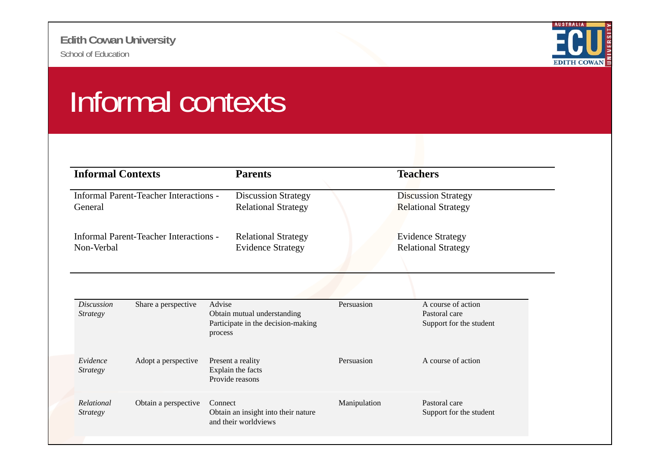

## Informal contexts

| <b>Informal Contexts</b>                                 |                                               | <b>Parents</b>                                                                         | <b>Teachers</b>                                        |                                                                |
|----------------------------------------------------------|-----------------------------------------------|----------------------------------------------------------------------------------------|--------------------------------------------------------|----------------------------------------------------------------|
| <b>Informal Parent-Teacher Interactions -</b><br>General |                                               | <b>Discussion Strategy</b><br><b>Relational Strategy</b>                               |                                                        | <b>Discussion Strategy</b><br><b>Relational Strategy</b>       |
| Non-Verbal                                               | <b>Informal Parent-Teacher Interactions -</b> | <b>Relational Strategy</b><br><b>Evidence Strategy</b>                                 | <b>Evidence Strategy</b><br><b>Relational Strategy</b> |                                                                |
| <b>Discussion</b><br><b>Strategy</b>                     | Share a perspective                           | Advise<br>Obtain mutual understanding<br>Participate in the decision-making<br>process | Persuasion                                             | A course of action<br>Pastoral care<br>Support for the student |
| Evidence<br><i>Strategy</i>                              | Adopt a perspective                           | Present a reality<br>Explain the facts<br>Provide reasons                              | Persuasion                                             | A course of action                                             |
| Relational<br><i>Strategy</i>                            | Obtain a perspective                          | Connect<br>Obtain an insight into their nature<br>and their worldviews                 | Manipulation                                           | Pastoral care<br>Support for the student                       |
|                                                          |                                               |                                                                                        |                                                        |                                                                |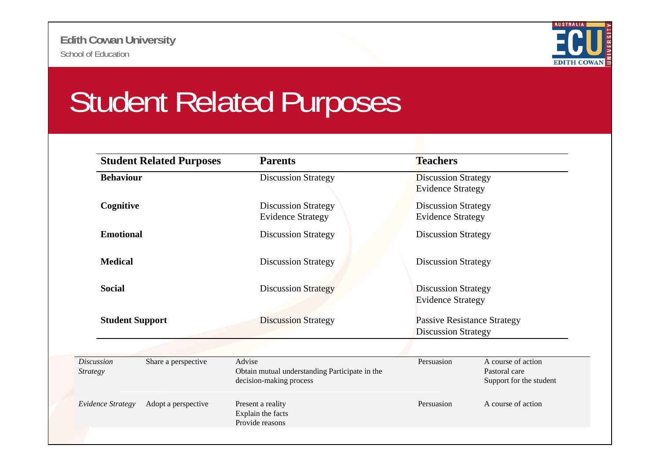

#### Student Related Purposes

| <b>Student Related Purposes</b>                             | <b>Parents</b>                                                                      | <b>Teachers</b>                                                  |                                                                |  |
|-------------------------------------------------------------|-------------------------------------------------------------------------------------|------------------------------------------------------------------|----------------------------------------------------------------|--|
| <b>Behaviour</b>                                            | <b>Discussion Strategy</b>                                                          | <b>Discussion Strategy</b><br><b>Evidence Strategy</b>           |                                                                |  |
| Cognitive                                                   | <b>Discussion Strategy</b><br><b>Evidence Strategy</b>                              | <b>Discussion Strategy</b><br><b>Evidence Strategy</b>           |                                                                |  |
| <b>Emotional</b>                                            | <b>Discussion Strategy</b>                                                          | <b>Discussion Strategy</b>                                       |                                                                |  |
| <b>Medical</b>                                              | <b>Discussion Strategy</b>                                                          | <b>Discussion Strategy</b>                                       |                                                                |  |
| <b>Social</b>                                               | <b>Discussion Strategy</b>                                                          | <b>Discussion Strategy</b><br><b>Evidence Strategy</b>           |                                                                |  |
| <b>Student Support</b>                                      | <b>Discussion Strategy</b>                                                          | <b>Passive Resistance Strategy</b><br><b>Discussion Strategy</b> |                                                                |  |
| <b>Discussion</b><br>Share a perspective<br><b>Strategy</b> | Advise<br>Obtain mutual understanding Participate in the<br>decision-making process | Persuasion                                                       | A course of action<br>Pastoral care<br>Support for the student |  |
| Evidence Strategy<br>Adopt a perspective                    | Present a reality<br>Explain the facts<br>Provide reasons                           | Persuasion                                                       | A course of action                                             |  |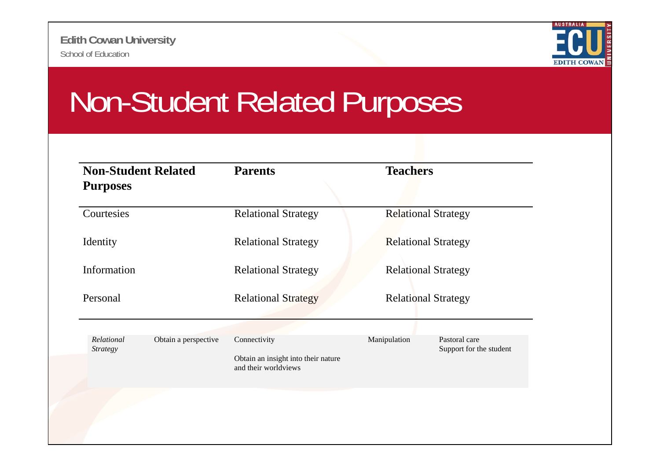

#### Non-Student Related Purposes

| <b>Non-Student Related</b><br><b>Purposes</b> |                      | <b>Parents</b>                                                              | <b>Teachers</b>            |                                          |
|-----------------------------------------------|----------------------|-----------------------------------------------------------------------------|----------------------------|------------------------------------------|
| Courtesies                                    |                      | <b>Relational Strategy</b>                                                  | <b>Relational Strategy</b> |                                          |
| Identity                                      |                      | <b>Relational Strategy</b>                                                  | <b>Relational Strategy</b> |                                          |
| Information                                   |                      | <b>Relational Strategy</b>                                                  | <b>Relational Strategy</b> |                                          |
| Personal                                      |                      | <b>Relational Strategy</b>                                                  | <b>Relational Strategy</b> |                                          |
| Relational<br><b>Strategy</b>                 | Obtain a perspective | Connectivity<br>Obtain an insight into their nature<br>and their worldviews | Manipulation               | Pastoral care<br>Support for the student |
|                                               |                      |                                                                             |                            |                                          |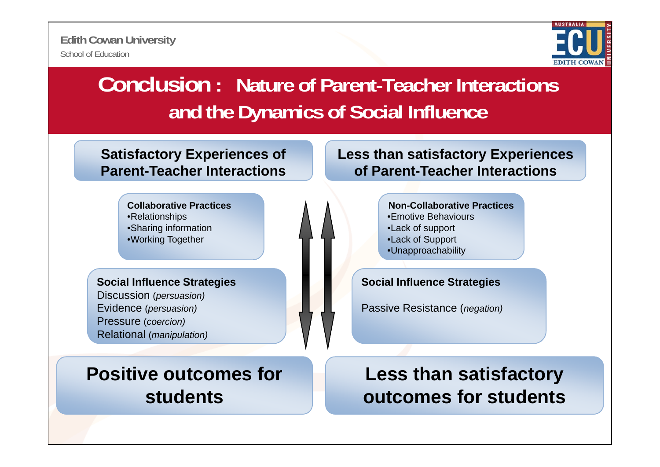

#### **Conclusion: Nature of Parent-Teacher Interactions and the Dynamics of Social Influence**

**Satisfactory Experiences of Parent-Teacher Interactions**

> **Collaborative Practices**•Relationships •Sharing information •Working Together

Discussion (*persuasion)* Evidence (*persuasion)*

Pressure (*coercion)* Relational (*manipulation) p )*

**Positive outcomes for td tstudents**

**Less than satisfactory Experiences of Parent-Teacher Interactions**

> **Non-Collaborative Practices**•Emotive Behaviours•Lack of support •Lack of Support •Unapproachability

**Social Influence Strategies Social Influence Strategies g**

Passive Resistance (*negation)*

**Less than satisfactory**   $b$  **c** *d d d d d d d d d d d d d d d d d d d d d d d d d d d d d d d d d d d*